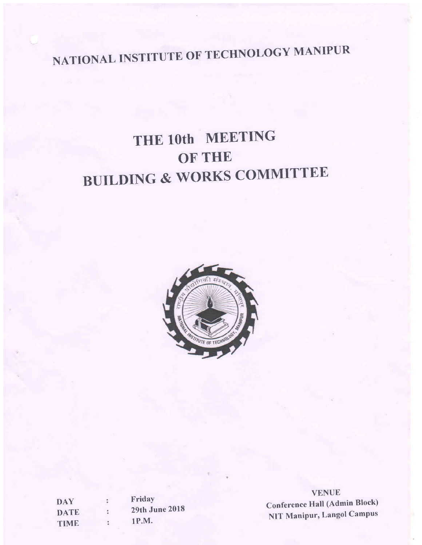# NATIONAL INSTITUTE OF TECHNOLOGY MANIPUR

## THE l0th MEETING OF THE BUILDING & WORKS COMMITTEE



| <b>DAY</b>  |   | Friday                |
|-------------|---|-----------------------|
| <b>DATE</b> | ÷ | <b>29th June 2018</b> |
| <b>TIME</b> | t | <b>1P.M.</b>          |

VENUE Conference Hall (Admin Block) NIT Manipur, Langol Campus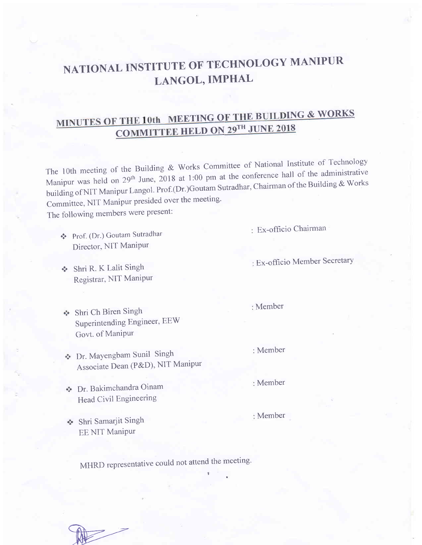## NATIONAL INSTITUTE OF TECHNOLOGY MANIPUR LANGOL, IMPHAL

## COMMITTEE HELD ON 29TH JUNE 2018 MINUTES OF THE 10th MEETING OF THE BUILDING & WORKS

The 10th meeting of the Building & Works Committee of National Institute of Technology Manipur was held on 29<sup>th</sup> June, 2018 at 1:00 pm at the conference hall of the administrative building of NIT Manipur Langol. Prof.(Dr.)Goutam Sutradhar, Chairman of the Building & Works Committee, NIT Manipur presided over the meeting'

The following members were present:

- \* Prof. (Dr.) Goutam Sutradlrar Director, NIT Manipur
- \* Shri R. K Lalit Singh Registrar, NIT Manipur

Ex-officio Chairman

Ex-officio Member SecretarY

- Shri Ch Biren Singh Superintending Engineer, EEW Govt. of Manipur
- Dr. MaYengbam Sunil Singh Associate Dean (P&D), NIT Manipur

Dr. Bakimchandra Oinam Head Civil Engineering

Shri Samarjit Singh EE NIT Manipur

MHRD representative could not attend the meeting.

Member

:Member

Member

Member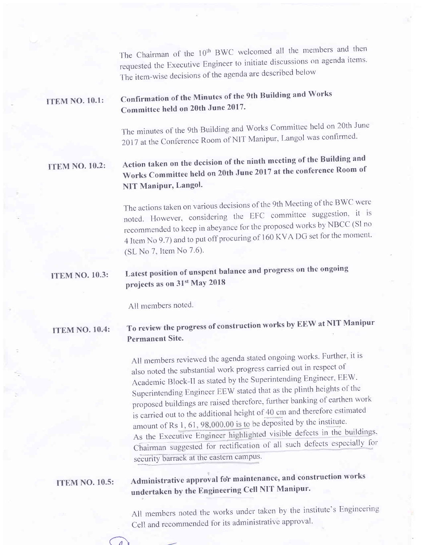The Chairman of the 10<sup>th</sup> BWC welcomed all the members and then requested the Executive Engineer to initiate discussions on agenda items. The item-wise decisions of the agenda are described below

#### **ITEM NO. 10.1:** Confirmation of the Minutes of the 9th Ruilding and Works Committee held on 20th June 2017'

The minutes of the 9th Building and Works Committee held on 20th June 2017 at the Conference Room of NIT Manipur, Langol was confirmed.

#### **TTEM NO. 10.2:** Action taken on the decision of the ninth meeting of the Building and Works Committee held on 20th June 2017 at the conference Room of NIT Manipur, Langol.

The actions taken on various decisions of the 9th Meeting of the BWC were noted. However, considering the EFC committee suggestion, it is recommended to keep in abeyance for the proposed works by NBCC (Sl no 4 Item No 9.7) and to put off procuring of 160 KVA DG set for the moment. (SL No 7, Item No 7.6).

#### ITEM NO. 10.3: Latest position of unspent balance and progress on thc ongoing projects as on 31<sup>st</sup> May 2018

All members noted.

#### **ITEM NO. 10.4:** To review the progress of construction works by EEW at NIT Manipur Permanent Site.

All members reviewed the agenda stated ongoing works. Further, it is also noted the substantial work progress carried out in respect of Academic Block-II as stated by the Superintending Engineer, EEW. Superintending Engineer EEW stated that as the plinth heights of the proposed buildings are raised therefore, further banking of earthen work is carried out to the additional height of 40 cm and therefore estimated amount of Rs  $1, 61, 98,000.00$  is to be deposited by the institute. As the Executive Engineer highlighted visible defects in the buildings, Chairman suggested for rectification of all such defects especially for security barrack at the eastern campus.

#### **ITEM NO. 10.5:**

 $\bigcap$ 

### Administrative approval for maintenance, and construction works undertaken by the Engineering Cell NIT Manipur'

All members noted the works under taken by the institute's Engineering cell and recommended for its administrative approval.